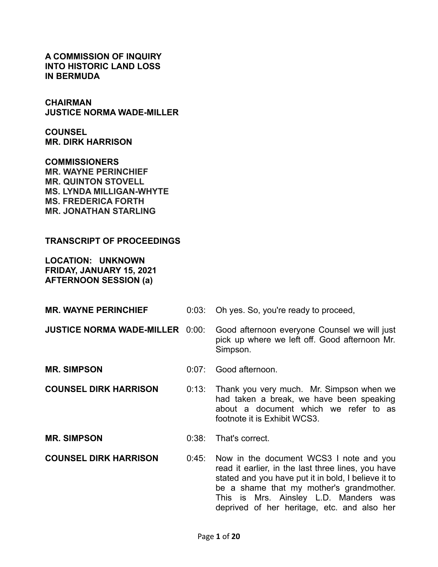**A COMMISSION OF INQUIRY INTO HISTORIC LAND LOSS IN BERMUDA**

**CHAIRMAN JUSTICE NORMA WADE-MILLER**

**COUNSEL MR. DIRK HARRISON**

**COMMISSIONERS MR. WAYNE PERINCHIEF MR. QUINTON STOVELL MS. LYNDA MILLIGAN-WHYTE MS. FREDERICA FORTH MR. JONATHAN STARLING**

## **TRANSCRIPT OF PROCEEDINGS**

**LOCATION: UNKNOWN FRIDAY, JANUARY 15, 2021 AFTERNOON SESSION (a)**

**MR. WAYNE PERINCHIEF** 0:03: Oh yes. So, you're ready to proceed,

**JUSTICE NORMA WADE-MILLER** 0:00: Good afternoon everyone Counsel we will just

pick up where we left off. Good afternoon Mr. Simpson.

footnote it is Exhibit WCS3.

**MR. SIMPSON** 0:07: Good afternoon.

- **COUNSEL DIRK HARRISON** 0:13: Thank you very much. Mr. Simpson when we had taken a break, we have been speaking about a document which we refer to as
- **MR. SIMPSON** 0:38: That's correct.
- **COUNSEL DIRK HARRISON** 0:45: Now in the document WCS3 I note and you read it earlier, in the last three lines, you have stated and you have put it in bold, I believe it to be a shame that my mother's grandmother. This is Mrs. Ainsley L.D. Manders was deprived of her heritage, etc. and also her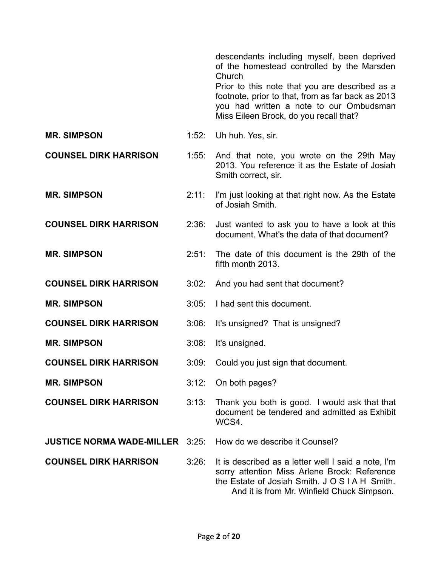descendants including myself, been deprived of the homestead controlled by the Marsden Church

Prior to this note that you are described as a footnote, prior to that, from as far back as 2013 you had written a note to our Ombudsman Miss Eileen Brock, do you recall that?

**MR. SIMPSON** 1:52: Uh huh. Yes. sir.

- **COUNSEL DIRK HARRISON** 1:55: And that note, you wrote on the 29th May 2013. You reference it as the Estate of Josiah Smith correct, sir.
- **MR. SIMPSON** 2:11: I'm just looking at that right now. As the Estate of Josiah Smith.
- **COUNSEL DIRK HARRISON** 2:36: Just wanted to ask you to have a look at this document. What's the data of that document?
- **MR. SIMPSON** 2:51: The date of this document is the 29th of the fifth month 2013.
- **COUNSEL DIRK HARRISON** 3:02: And you had sent that document?
- **MR. SIMPSON** 3:05: I had sent this document.
- **COUNSEL DIRK HARRISON** 3:06: It's unsigned? That is unsigned?
- **MR. SIMPSON** 3:08: It's unsigned.
- **COUNSEL DIRK HARRISON** 3:09: Could you just sign that document.
- **MR. SIMPSON** 3:12: On both pages?
- **COUNSEL DIRK HARRISON** 3:13: Thank you both is good. I would ask that that document be tendered and admitted as Exhibit WCS4.

**JUSTICE NORMA WADE-MILLER** 3:25: How do we describe it Counsel?

- 
- **COUNSEL DIRK HARRISON** 3:26: It is described as a letter well I said a note, I'm sorry attention Miss Arlene Brock: Reference the Estate of Josiah Smith. J O S I A H Smith. And it is from Mr. Winfield Chuck Simpson.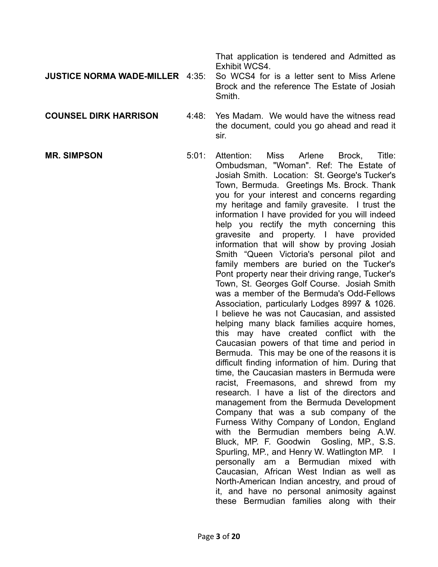That application is tendered and Admitted as Exhibit WCS4.

## **JUSTICE NORMA WADE-MILLER** 4:35: So WCS4 for is a letter sent to Miss Arlene Brock and the reference The Estate of Josiah **Smith**

**COUNSEL DIRK HARRISON** 4:48: Yes Madam. We would have the witness read the document, could you go ahead and read it sir.

**MR. SIMPSON** 5:01: Attention: Miss Arlene Brock, Title: Ombudsman, "Woman". Ref: The Estate of Josiah Smith. Location: St. George's Tucker's Town, Bermuda. Greetings Ms. Brock. Thank you for your interest and concerns regarding my heritage and family gravesite. I trust the information I have provided for you will indeed help you rectify the myth concerning this gravesite and property. I have provided information that will show by proving Josiah Smith "Queen Victoria's personal pilot and family members are buried on the Tucker's Pont property near their driving range, Tucker's Town, St. Georges Golf Course. Josiah Smith was a member of the Bermuda's Odd-Fellows Association, particularly Lodges 8997 & 1026. I believe he was not Caucasian, and assisted helping many black families acquire homes, this may have created conflict with the Caucasian powers of that time and period in Bermuda. This may be one of the reasons it is difficult finding information of him. During that time, the Caucasian masters in Bermuda were racist, Freemasons, and shrewd from my research. I have a list of the directors and management from the Bermuda Development Company that was a sub company of the Furness Withy Company of London, England with the Bermudian members being A.W. Bluck, MP. F. Goodwin Gosling, MP., S.S. Spurling, MP., and Henry W. Watlington MP. I personally am a Bermudian mixed with Caucasian, African West Indian as well as North-American Indian ancestry, and proud of it, and have no personal animosity against these Bermudian families along with their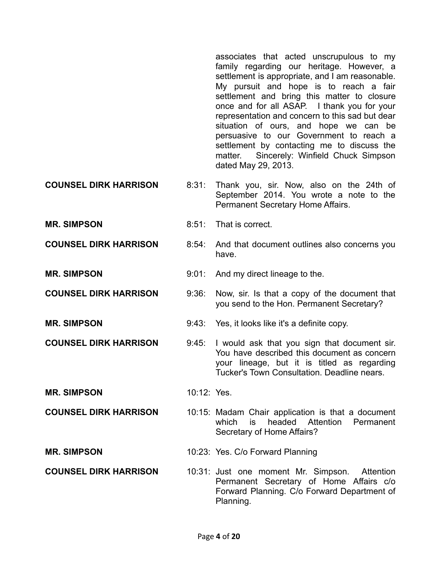associates that acted unscrupulous to my family regarding our heritage. However, a settlement is appropriate, and I am reasonable. My pursuit and hope is to reach a fair settlement and bring this matter to closure once and for all ASAP. I thank you for your representation and concern to this sad but dear situation of ours, and hope we can be persuasive to our Government to reach a settlement by contacting me to discuss the matter. Sincerely: Winfield Chuck Simpson dated May 29, 2013.

- **COUNSEL DIRK HARRISON** 8:31: Thank you, sir. Now, also on the 24th of September 2014. You wrote a note to the Permanent Secretary Home Affairs.
- **MR. SIMPSON** 8:51: That is correct.
- **COUNSEL DIRK HARRISON** 8:54: And that document outlines also concerns you have.
- **MR. SIMPSON** 9:01: And my direct lineage to the.
- **COUNSEL DIRK HARRISON** 9:36: Now, sir. Is that a copy of the document that you send to the Hon. Permanent Secretary?
- **MR. SIMPSON** 9:43: Yes, it looks like it's a definite copy.
- **COUNSEL DIRK HARRISON** 9:45: I would ask that you sign that document sir. You have described this document as concern your lineage, but it is titled as regarding
- **MR. SIMPSON** 10:12: Yes.
- **COUNSEL DIRK HARRISON** 10:15: Madam Chair application is that a document which is headed Attention Permanent Secretary of Home Affairs?

Tucker's Town Consultation. Deadline nears.

- **MR. SIMPSON** 10:23: Yes. C/o Forward Planning
- **COUNSEL DIRK HARRISON** 10:31: Just one moment Mr. Simpson. Attention Permanent Secretary of Home Affairs c/o Forward Planning. C/o Forward Department of Planning.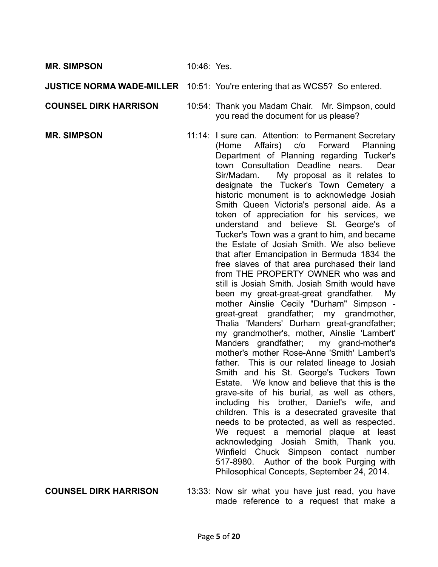**MR. SIMPSON** 10:46: Yes.

## **JUSTICE NORMA WADE-MILLER** 10:51: You're entering that as WCS5? So entered.

**COUNSEL DIRK HARRISON** 10:54: Thank you Madam Chair. Mr. Simpson, could you read the document for us please?

**MR. SIMPSON** 11:14: I sure can. Attention: to Permanent Secretary (Home Affairs) c/o Forward Planning Department of Planning regarding Tucker's town Consultation Deadline nears. Dear Sir/Madam. My proposal as it relates to designate the Tucker's Town Cemetery a historic monument is to acknowledge Josiah Smith Queen Victoria's personal aide. As a token of appreciation for his services, we understand and believe St. George's of Tucker's Town was a grant to him, and became the Estate of Josiah Smith. We also believe that after Emancipation in Bermuda 1834 the free slaves of that area purchased their land from THE PROPERTY OWNER who was and still is Josiah Smith. Josiah Smith would have been my great-great-great grandfather. My mother Ainslie Cecily "Durham" Simpson great-great grandfather; my grandmother, Thalia 'Manders' Durham great-grandfather; my grandmother's, mother, Ainslie 'Lambert' Manders grandfather; my grand-mother's mother's mother Rose-Anne 'Smith' Lambert's father. This is our related lineage to Josiah Smith and his St. George's Tuckers Town Estate. We know and believe that this is the grave-site of his burial, as well as others, including his brother, Daniel's wife, and children. This is a desecrated gravesite that needs to be protected, as well as respected. We request a memorial plaque at least acknowledging Josiah Smith, Thank you. Winfield Chuck Simpson contact number 517-8980. Author of the book Purging with Philosophical Concepts, September 24, 2014.

**COUNSEL DIRK HARRISON** 13:33: Now sir what you have just read, you have made reference to a request that make a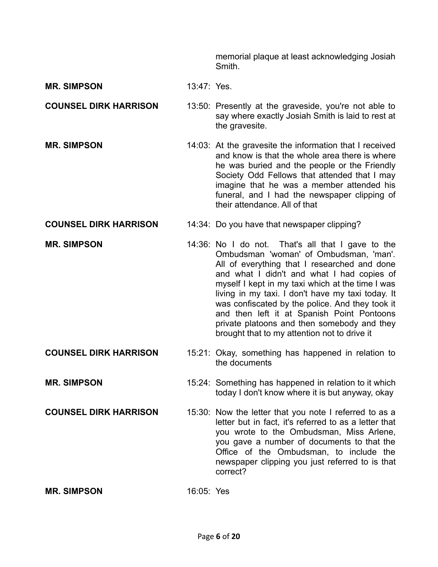memorial plaque at least acknowledging Josiah **Smith** 

- **MR. SIMPSON** 13:47: Yes.
- **COUNSEL DIRK HARRISON** 13:50: Presently at the graveside, you're not able to say where exactly Josiah Smith is laid to rest at the gravesite.
- **MR. SIMPSON** 14:03: At the gravesite the information that I received and know is that the whole area there is where he was buried and the people or the Friendly Society Odd Fellows that attended that I may imagine that he was a member attended his funeral, and I had the newspaper clipping of their attendance. All of that
- **COUNSEL DIRK HARRISON** 14:34: Do you have that newspaper clipping?
- **MR. SIMPSON** 14:36: No I do not. That's all that I gave to the Ombudsman 'woman' of Ombudsman, 'man'. All of everything that I researched and done and what I didn't and what I had copies of myself I kept in my taxi which at the time I was living in my taxi. I don't have my taxi today. It was confiscated by the police. And they took it and then left it at Spanish Point Pontoons private platoons and then somebody and they brought that to my attention not to drive it
- **COUNSEL DIRK HARRISON** 15:21: Okay, something has happened in relation to the documents
- **MR. SIMPSON** 15:24: Something has happened in relation to it which today I don't know where it is but anyway, okay
- **COUNSEL DIRK HARRISON** 15:30: Now the letter that you note I referred to as a letter but in fact, it's referred to as a letter that you wrote to the Ombudsman, Miss Arlene, you gave a number of documents to that the Office of the Ombudsman, to include the newspaper clipping you just referred to is that correct?

**MR. SIMPSON** 16:05: Yes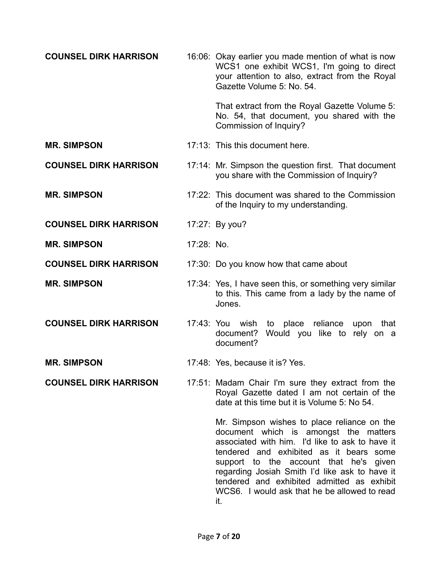| <b>COUNSEL DIRK HARRISON</b> |            | 16:06: Okay earlier you made mention of what is now<br>WCS1 one exhibit WCS1, I'm going to direct<br>your attention to also, extract from the Royal<br>Gazette Volume 5: No. 54.                                                                                                                                             |
|------------------------------|------------|------------------------------------------------------------------------------------------------------------------------------------------------------------------------------------------------------------------------------------------------------------------------------------------------------------------------------|
|                              |            | That extract from the Royal Gazette Volume 5:<br>No. 54, that document, you shared with the<br>Commission of Inquiry?                                                                                                                                                                                                        |
| <b>MR. SIMPSON</b>           |            | 17:13: This this document here.                                                                                                                                                                                                                                                                                              |
| <b>COUNSEL DIRK HARRISON</b> |            | 17:14: Mr. Simpson the question first. That document<br>you share with the Commission of Inquiry?                                                                                                                                                                                                                            |
| <b>MR. SIMPSON</b>           |            | 17:22: This document was shared to the Commission<br>of the Inquiry to my understanding.                                                                                                                                                                                                                                     |
| <b>COUNSEL DIRK HARRISON</b> |            | 17:27: By you?                                                                                                                                                                                                                                                                                                               |
| <b>MR. SIMPSON</b>           | 17:28: No. |                                                                                                                                                                                                                                                                                                                              |
| <b>COUNSEL DIRK HARRISON</b> |            | 17:30: Do you know how that came about                                                                                                                                                                                                                                                                                       |
| <b>MR. SIMPSON</b>           |            | 17:34: Yes, I have seen this, or something very similar<br>to this. This came from a lady by the name of<br>Jones.                                                                                                                                                                                                           |
| <b>COUNSEL DIRK HARRISON</b> |            | 17:43: You wish<br>to place reliance<br>upon<br>that<br>document? Would you like to rely on a<br>document?                                                                                                                                                                                                                   |
| <b>MR. SIMPSON</b>           |            | 17:48: Yes, because it is? Yes.                                                                                                                                                                                                                                                                                              |
| <b>COUNSEL DIRK HARRISON</b> |            | 17:51: Madam Chair I'm sure they extract from the<br>Royal Gazette dated I am not certain of the<br>date at this time but it is Volume 5: No 54.                                                                                                                                                                             |
|                              |            | Mr. Simpson wishes to place reliance on the<br>document which is amongst the matters<br>associated with him. I'd like to ask to have it<br>tendered and exhibited as it bears some<br>support to the account that he's given<br>regarding Josiah Smith I'd like ask to have it<br>tendered and exhibited admitted as exhibit |

it.

WCS6. I would ask that he be allowed to read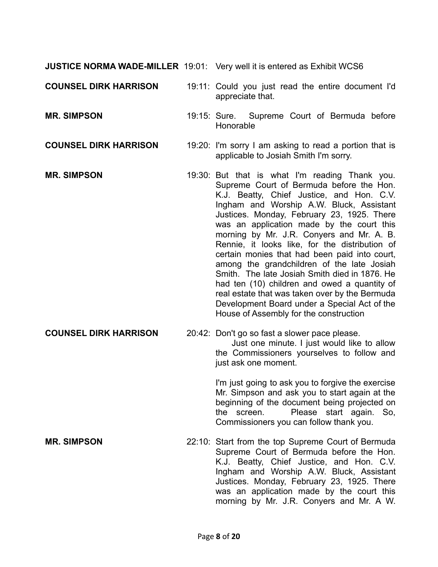**JUSTICE NORMA WADE-MILLER** 19:01: Very well it is entered as Exhibit WCS6

**COUNSEL DIRK HARRISON** 19:11: Could you just read the entire document I'd appreciate that.

**MR. SIMPSON** 19:15: Sure. Supreme Court of Bermuda before Honorable

**COUNSEL DIRK HARRISON** 19:20: I'm sorry I am asking to read a portion that is applicable to Josiah Smith I'm sorry.

**MR. SIMPSON** 19:30: But that is what I'm reading Thank you. Supreme Court of Bermuda before the Hon. K.J. Beatty, Chief Justice, and Hon. C.V. Ingham and Worship A.W. Bluck, Assistant Justices. Monday, February 23, 1925. There was an application made by the court this morning by Mr. J.R. Conyers and Mr. A. B. Rennie, it looks like, for the distribution of certain monies that had been paid into court, among the grandchildren of the late Josiah Smith. The late Josiah Smith died in 1876. He had ten (10) children and owed a quantity of real estate that was taken over by the Bermuda Development Board under a Special Act of the House of Assembly for the construction

**COUNSEL DIRK HARRISON** 20:42: Don't go so fast a slower pace please. Just one minute. I just would like to allow the Commissioners yourselves to follow and

> just ask one moment. I'm just going to ask you to forgive the exercise

> Mr. Simpson and ask you to start again at the beginning of the document being projected on the screen. Please start again. So, Commissioners you can follow thank you.

**MR. SIMPSON** 22:10: Start from the top Supreme Court of Bermuda Supreme Court of Bermuda before the Hon. K.J. Beatty, Chief Justice, and Hon. C.V. Ingham and Worship A.W. Bluck, Assistant Justices. Monday, February 23, 1925. There was an application made by the court this morning by Mr. J.R. Conyers and Mr. A W.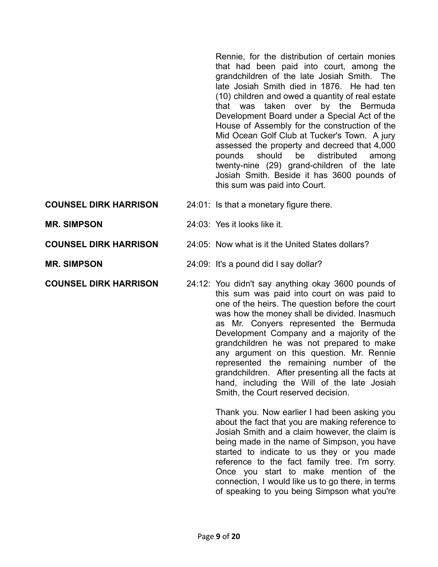Rennie, for the distribution of certain monies that had been paid into court, among the grandchildren of the late Josiah Smith. The late Josiah Smith died in 1876. He had ten (10) children and owed a quantity of real estate that was taken over by the Bermuda Development Board under a Special Act of the House of Assembly for the construction of the Mid Ocean Golf Club at Tucker's Town. A jury assessed the property and decreed that 4,000 pounds should be distributed among twenty-nine (29) grand-children of the late Josiah Smith. Beside it has 3600 pounds of this sum was paid into Court.

- **COUNSEL DIRK HARRISON** 24:01: Is that a monetary figure there.
- **MR. SIMPSON** 24:03: Yes it looks like it.
- **COUNSEL DIRK HARRISON** 24:05: Now what is it the United States dollars?
- **MR. SIMPSON** 24:09: It's a pound did I say dollar?
- **COUNSEL DIRK HARRISON** 24:12: You didn't say anything okay 3600 pounds of this sum was paid into court on was paid to one of the heirs. The question before the court was how the money shall be divided. Inasmuch as Mr. Conyers represented the Bermuda Development Company and a majority of the grandchildren he was not prepared to make any argument on this question. Mr. Rennie represented the remaining number of the grandchildren. After presenting all the facts at hand, including the Will of the late Josiah Smith, the Court reserved decision.

Thank you. Now earlier I had been asking you about the fact that you are making reference to Josiah Smith and a claim however, the claim is being made in the name of Simpson, you have started to indicate to us they or you made reference to the fact family tree. I'm sorry. Once you start to make mention of the connection, I would like us to go there, in terms of speaking to you being Simpson what you're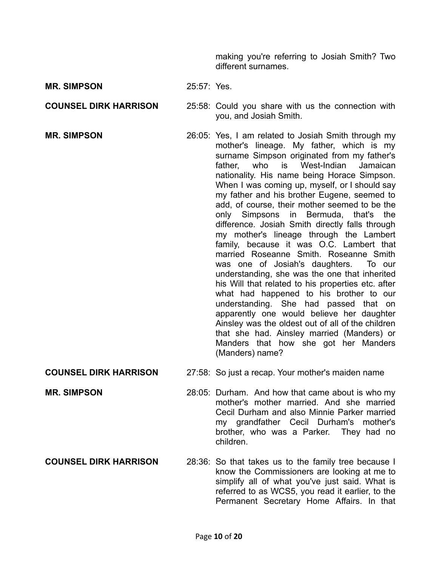making you're referring to Josiah Smith? Two different surnames.

- **MR. SIMPSON** 25:57: Yes.
- 
- **COUNSEL DIRK HARRISON** 25:58: Could you share with us the connection with you, and Josiah Smith.
- **MR. SIMPSON** 26:05: Yes, I am related to Josiah Smith through my mother's lineage. My father, which is my surname Simpson originated from my father's father, who is West-Indian Jamaican nationality. His name being Horace Simpson. When I was coming up, myself, or I should say my father and his brother Eugene, seemed to add, of course, their mother seemed to be the only Simpsons in Bermuda, that's the difference. Josiah Smith directly falls through my mother's lineage through the Lambert family, because it was O.C. Lambert that married Roseanne Smith. Roseanne Smith was one of Josiah's daughters. To our understanding, she was the one that inherited his Will that related to his properties etc. after what had happened to his brother to our understanding. She had passed that on apparently one would believe her daughter Ainsley was the oldest out of all of the children that she had. Ainsley married (Manders) or Manders that how she got her Manders (Manders) name?
- **COUNSEL DIRK HARRISON** 27:58: So just a recap. Your mother's maiden name
- **MR. SIMPSON** 28:05: Durham. And how that came about is who my mother's mother married. And she married Cecil Durham and also Minnie Parker married my grandfather Cecil Durham's mother's brother, who was a Parker. They had no children.
- **COUNSEL DIRK HARRISON** 28:36: So that takes us to the family tree because I know the Commissioners are looking at me to simplify all of what you've just said. What is referred to as WCS5, you read it earlier, to the Permanent Secretary Home Affairs. In that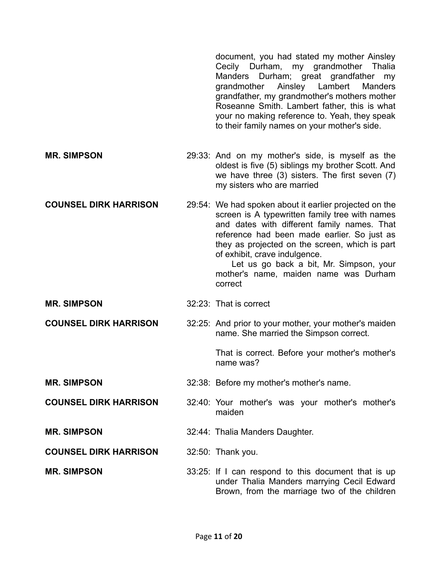document, you had stated my mother Ainsley Cecily Durham, my grandmother Thalia Manders Durham; great grandfather my grandmother Ainsley Lambert Manders grandfather, my grandmother's mothers mother Roseanne Smith. Lambert father, this is what your no making reference to. Yeah, they speak to their family names on your mother's side.

- **MR. SIMPSON** 29:33: And on my mother's side, is myself as the oldest is five (5) siblings my brother Scott. And we have three (3) sisters. The first seven (7) my sisters who are married
- **COUNSEL DIRK HARRISON** 29:54: We had spoken about it earlier projected on the screen is A typewritten family tree with names and dates with different family names. That reference had been made earlier. So just as they as projected on the screen, which is part of exhibit, crave indulgence. Let us go back a bit, Mr. Simpson, your

mother's name, maiden name was Durham correct

- **MR. SIMPSON** 32:23: That is correct
- **COUNSEL DIRK HARRISON** 32:25: And prior to your mother, your mother's maiden name. She married the Simpson correct.

That is correct. Before your mother's mother's name was?

- **MR. SIMPSON** 32:38: Before my mother's mother's name.
- **COUNSEL DIRK HARRISON** 32:40: Your mother's was your mother's mother's maiden
- **MR. SIMPSON** 32:44: Thalia Manders Daughter.
- **COUNSEL DIRK HARRISON** 32:50: Thank you.
- **MR. SIMPSON** 33:25: If I can respond to this document that is up under Thalia Manders marrying Cecil Edward Brown, from the marriage two of the children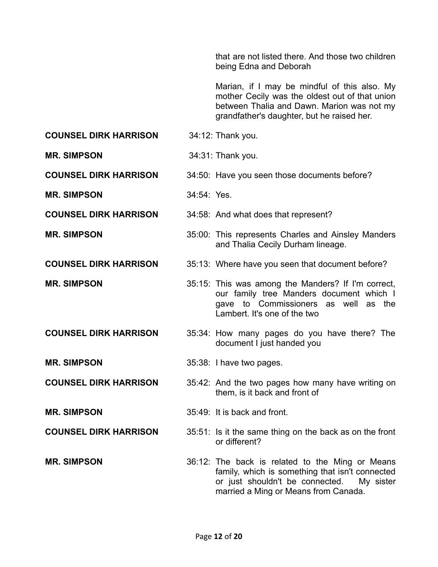that are not listed there. And those two children being Edna and Deborah

Marian, if I may be mindful of this also. My mother Cecily was the oldest out of that union between Thalia and Dawn. Marion was not my grandfather's daughter, but he raised her.

**COUNSEL DIRK HARRISON** 34:12: Thank you.

**MR. SIMPSON** 34:31: Thank you.

**COUNSEL DIRK HARRISON** 34:50: Have you seen those documents before?

**MR. SIMPSON** 34:54: Yes.

**COUNSEL DIRK HARRISON** 34:58: And what does that represent?

**MR. SIMPSON** 35:00: This represents Charles and Ainsley Manders and Thalia Cecily Durham lineage.

**COUNSEL DIRK HARRISON** 35:13: Where have you seen that document before?

- 
- **MR. SIMPSON** 35:15: This was among the Manders? If I'm correct, our family tree Manders document which I gave to Commissioners as well as the Lambert. It's one of the two
- **COUNSEL DIRK HARRISON** 35:34: How many pages do you have there? The document I just handed you
- **MR. SIMPSON** 35:38: I have two pages.
- **COUNSEL DIRK HARRISON** 35:42: And the two pages how many have writing on them, is it back and front of

or different?

**MR. SIMPSON** 35:49: It is back and front.

**COUNSEL DIRK HARRISON** 35:51: Is it the same thing on the back as on the front

**MR. SIMPSON** 36:12: The back is related to the Ming or Means family, which is something that isn't connected or just shouldn't be connected. My sister married a Ming or Means from Canada.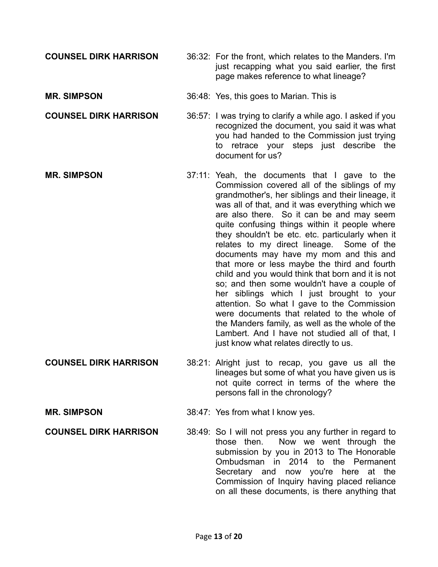- **COUNSEL DIRK HARRISON** 36:32: For the front, which relates to the Manders. I'm just recapping what you said earlier, the first page makes reference to what lineage?
- **MR. SIMPSON** 36:48: Yes, this goes to Marian. This is

**COUNSEL DIRK HARRISON** 36:57: I was trying to clarify a while ago. I asked if you recognized the document, you said it was what you had handed to the Commission just trying to retrace your steps just describe the document for us?

- **MR. SIMPSON** 37:11: Yeah, the documents that I gave to the Commission covered all of the siblings of my grandmother's, her siblings and their lineage, it was all of that, and it was everything which we are also there. So it can be and may seem quite confusing things within it people where they shouldn't be etc. etc. particularly when it relates to my direct lineage. Some of the documents may have my mom and this and that more or less maybe the third and fourth child and you would think that born and it is not so; and then some wouldn't have a couple of her siblings which I just brought to your attention. So what I gave to the Commission were documents that related to the whole of the Manders family, as well as the whole of the Lambert. And I have not studied all of that, I just know what relates directly to us.
- **COUNSEL DIRK HARRISON** 38:21: Alright just to recap, you gave us all the lineages but some of what you have given us is not quite correct in terms of the where the persons fall in the chronology?
- **MR. SIMPSON** 38:47: Yes from what I know yes.

**COUNSEL DIRK HARRISON** 38:49: So I will not press you any further in regard to those then. Now we went through the submission by you in 2013 to The Honorable Ombudsman in 2014 to the Permanent Secretary and now you're here at the Commission of Inquiry having placed reliance on all these documents, is there anything that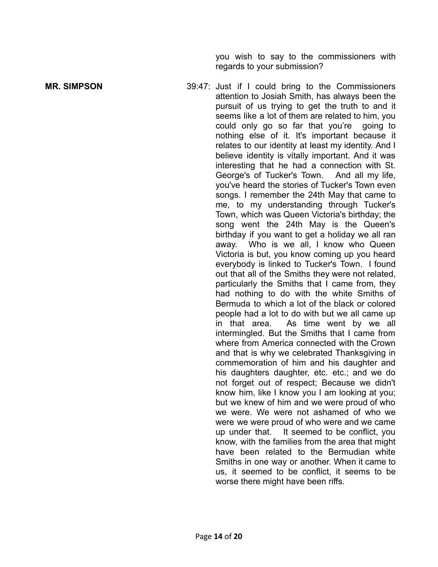you wish to say to the commissioners with regards to your submission?

**MR. SIMPSON** 39:47: Just if I could bring to the Commissioners attention to Josiah Smith, has always been the pursuit of us trying to get the truth to and it seems like a lot of them are related to him, you could only go so far that you're going to nothing else of it. It's important because it relates to our identity at least my identity. And I believe identity is vitally important. And it was interesting that he had a connection with St. George's of Tucker's Town. And all my life, you've heard the stories of Tucker's Town even songs. I remember the 24th May that came to me, to my understanding through Tucker's Town, which was Queen Victoria's birthday; the song went the 24th May is the Queen's birthday if you want to get a holiday we all ran away. Who is we all, I know who Queen Victoria is but, you know coming up you heard everybody is linked to Tucker's Town. I found out that all of the Smiths they were not related, particularly the Smiths that I came from, they had nothing to do with the white Smiths of Bermuda to which a lot of the black or colored people had a lot to do with but we all came up in that area. As time went by we all intermingled. But the Smiths that I came from where from America connected with the Crown and that is why we celebrated Thanksgiving in commemoration of him and his daughter and his daughters daughter, etc. etc.; and we do not forget out of respect; Because we didn't know him, like I know you I am looking at you; but we knew of him and we were proud of who we were. We were not ashamed of who we were we were proud of who were and we came up under that. It seemed to be conflict, you know, with the families from the area that might have been related to the Bermudian white Smiths in one way or another. When it came to us, it seemed to be conflict, it seems to be worse there might have been riffs.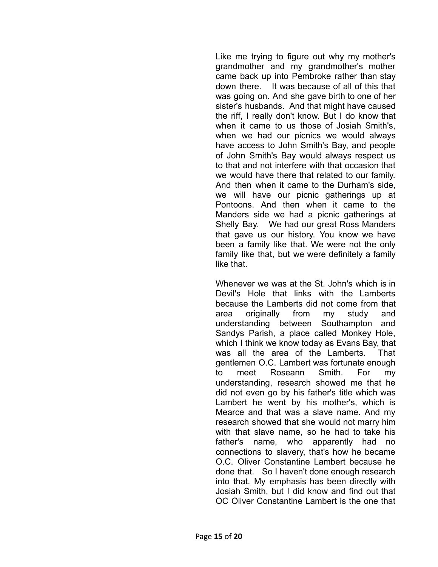Like me trying to figure out why my mother's grandmother and my grandmother's mother came back up into Pembroke rather than stay down there. It was because of all of this that was going on. And she gave birth to one of her sister's husbands. And that might have caused the riff, I really don't know. But I do know that when it came to us those of Josiah Smith's, when we had our picnics we would always have access to John Smith's Bay, and people of John Smith's Bay would always respect us to that and not interfere with that occasion that we would have there that related to our family. And then when it came to the Durham's side, we will have our picnic gatherings up at Pontoons. And then when it came to the Manders side we had a picnic gatherings at Shelly Bay. We had our great Ross Manders that gave us our history. You know we have been a family like that. We were not the only family like that, but we were definitely a family like that.

Whenever we was at the St. John's which is in Devil's Hole that links with the Lamberts because the Lamberts did not come from that area originally from my study and understanding between Southampton and Sandys Parish, a place called Monkey Hole, which I think we know today as Evans Bay, that was all the area of the Lamberts. That gentlemen O.C. Lambert was fortunate enough to meet Roseann Smith. For my understanding, research showed me that he did not even go by his father's title which was Lambert he went by his mother's, which is Mearce and that was a slave name. And my research showed that she would not marry him with that slave name, so he had to take his father's name, who apparently had no connections to slavery, that's how he became O.C. Oliver Constantine Lambert because he done that. So I haven't done enough research into that. My emphasis has been directly with Josiah Smith, but I did know and find out that OC Oliver Constantine Lambert is the one that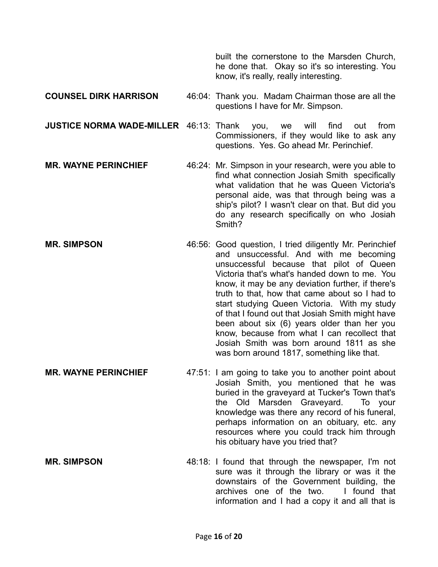built the cornerstone to the Marsden Church, he done that. Okay so it's so interesting. You know, it's really, really interesting.

- **COUNSEL DIRK HARRISON** 46:04: Thank you. Madam Chairman those are all the questions I have for Mr. Simpson.
- **JUSTICE NORMA WADE-MILLER** 46:13: Thank you, we will find out from Commissioners, if they would like to ask any questions. Yes. Go ahead Mr. Perinchief.
- **MR. WAYNE PERINCHIEF** 46:24: Mr. Simpson in your research, were you able to find what connection Josiah Smith specifically what validation that he was Queen Victoria's personal aide, was that through being was a ship's pilot? I wasn't clear on that. But did you do any research specifically on who Josiah Smith?
- **MR. SIMPSON** 46:56: Good question, I tried diligently Mr. Perinchief and unsuccessful. And with me becoming unsuccessful because that pilot of Queen Victoria that's what's handed down to me. You know, it may be any deviation further, if there's truth to that, how that came about so I had to start studying Queen Victoria. With my study of that I found out that Josiah Smith might have been about six (6) years older than her you know, because from what I can recollect that Josiah Smith was born around 1811 as she was born around 1817, something like that.
- **MR. WAYNE PERINCHIEF** 47:51: I am going to take you to another point about Josiah Smith, you mentioned that he was buried in the graveyard at Tucker's Town that's the Old Marsden Graveyard. To your knowledge was there any record of his funeral, perhaps information on an obituary, etc. any resources where you could track him through his obituary have you tried that?
- **MR. SIMPSON** 48:18: I found that through the newspaper, I'm not sure was it through the library or was it the downstairs of the Government building, the archives one of the two. I found that information and I had a copy it and all that is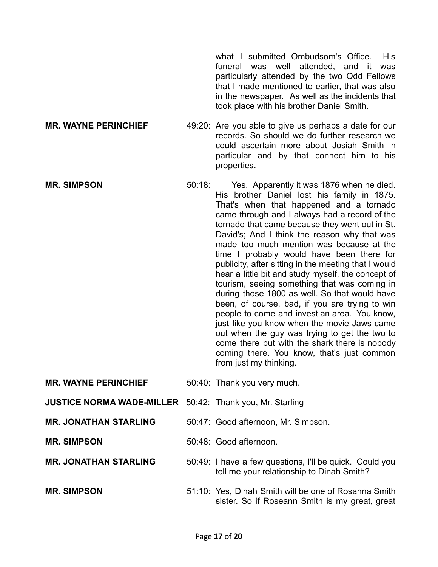what I submitted Ombudsom's Office. His funeral was well attended, and it was particularly attended by the two Odd Fellows that I made mentioned to earlier, that was also in the newspaper. As well as the incidents that took place with his brother Daniel Smith.

- **MR. WAYNE PERINCHIEF** 49:20: Are you able to give us perhaps a date for our records. So should we do further research we could ascertain more about Josiah Smith in particular and by that connect him to his properties.
- **MR. SIMPSON** 50:18: Yes. Apparently it was 1876 when he died. His brother Daniel lost his family in 1875. That's when that happened and a tornado came through and I always had a record of the tornado that came because they went out in St. David's; And I think the reason why that was made too much mention was because at the time I probably would have been there for publicity, after sitting in the meeting that I would hear a little bit and study myself, the concept of tourism, seeing something that was coming in during those 1800 as well. So that would have been, of course, bad, if you are trying to win people to come and invest an area. You know, just like you know when the movie Jaws came out when the guy was trying to get the two to come there but with the shark there is nobody coming there. You know, that's just common from just my thinking.
- **MR. WAYNE PERINCHIEF** 50:40: Thank you very much.
- **JUSTICE NORMA WADE-MILLER** 50:42: Thank you, Mr. Starling
- **MR. JONATHAN STARLING** 50:47: Good afternoon, Mr. Simpson.
- **MR. SIMPSON** 50:48: Good afternoon.
- **MR. JONATHAN STARLING** 50:49: I have a few questions, I'll be quick. Could you tell me your relationship to Dinah Smith?
- **MR. SIMPSON** 51:10: Yes, Dinah Smith will be one of Rosanna Smith sister. So if Roseann Smith is my great, great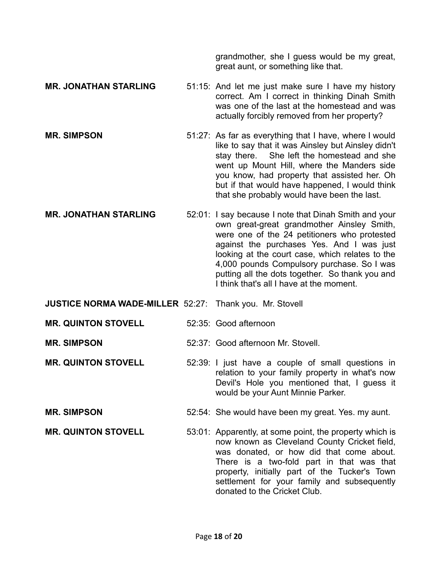grandmother, she I guess would be my great, great aunt, or something like that.

- **MR. JONATHAN STARLING** 51:15: And let me just make sure I have my history correct. Am I correct in thinking Dinah Smith was one of the last at the homestead and was actually forcibly removed from her property?
- **MR. SIMPSON** 51:27: As far as everything that I have, where I would like to say that it was Ainsley but Ainsley didn't stay there. She left the homestead and she went up Mount Hill, where the Manders side you know, had property that assisted her. Oh but if that would have happened, I would think that she probably would have been the last.
- **MR. JONATHAN STARLING** 52:01: I say because I note that Dinah Smith and your own great-great grandmother Ainsley Smith, were one of the 24 petitioners who protested against the purchases Yes. And I was just looking at the court case, which relates to the 4,000 pounds Compulsory purchase. So I was putting all the dots together. So thank you and I think that's all I have at the moment.
- **JUSTICE NORMA WADE-MILLER** 52:27: Thank you. Mr. Stovell
- **MR. QUINTON STOVELL** 52:35: Good afternoon
- **MR. SIMPSON** 52:37: Good afternoon Mr. Stovell.
- **MR. QUINTON STOVELL** 52:39: I just have a couple of small questions in relation to your family property in what's now Devil's Hole you mentioned that, I guess it would be your Aunt Minnie Parker.
- **MR. SIMPSON** 52:54: She would have been my great. Yes. my aunt.
- **MR. QUINTON STOVELL** 53:01: Apparently, at some point, the property which is now known as Cleveland County Cricket field, was donated, or how did that come about. There is a two-fold part in that was that property, initially part of the Tucker's Town settlement for your family and subsequently donated to the Cricket Club.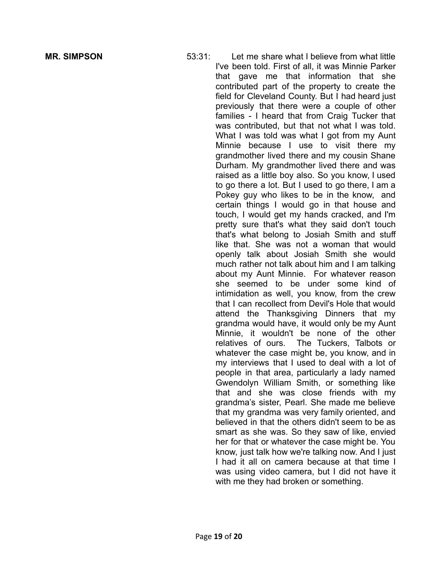**MR. SIMPSON** 53:31: Let me share what I believe from what little I've been told. First of all, it was Minnie Parker that gave me that information that she contributed part of the property to create the field for Cleveland County. But I had heard just previously that there were a couple of other families - I heard that from Craig Tucker that was contributed, but that not what I was told. What I was told was what I got from my Aunt Minnie because I use to visit there my grandmother lived there and my cousin Shane Durham. My grandmother lived there and was raised as a little boy also. So you know, I used to go there a lot. But I used to go there, I am a Pokey guy who likes to be in the know, and certain things I would go in that house and touch, I would get my hands cracked, and I'm pretty sure that's what they said don't touch that's what belong to Josiah Smith and stuff like that. She was not a woman that would openly talk about Josiah Smith she would much rather not talk about him and I am talking about my Aunt Minnie. For whatever reason she seemed to be under some kind of intimidation as well, you know, from the crew that I can recollect from Devil's Hole that would attend the Thanksgiving Dinners that my grandma would have, it would only be my Aunt Minnie, it wouldn't be none of the other relatives of ours. The Tuckers, Talbots or whatever the case might be, you know, and in my interviews that I used to deal with a lot of people in that area, particularly a lady named Gwendolyn William Smith, or something like that and she was close friends with my grandma's sister, Pearl. She made me believe that my grandma was very family oriented, and believed in that the others didn't seem to be as smart as she was. So they saw of like, envied her for that or whatever the case might be. You know, just talk how we're talking now. And I just I had it all on camera because at that time I was using video camera, but I did not have it with me they had broken or something.